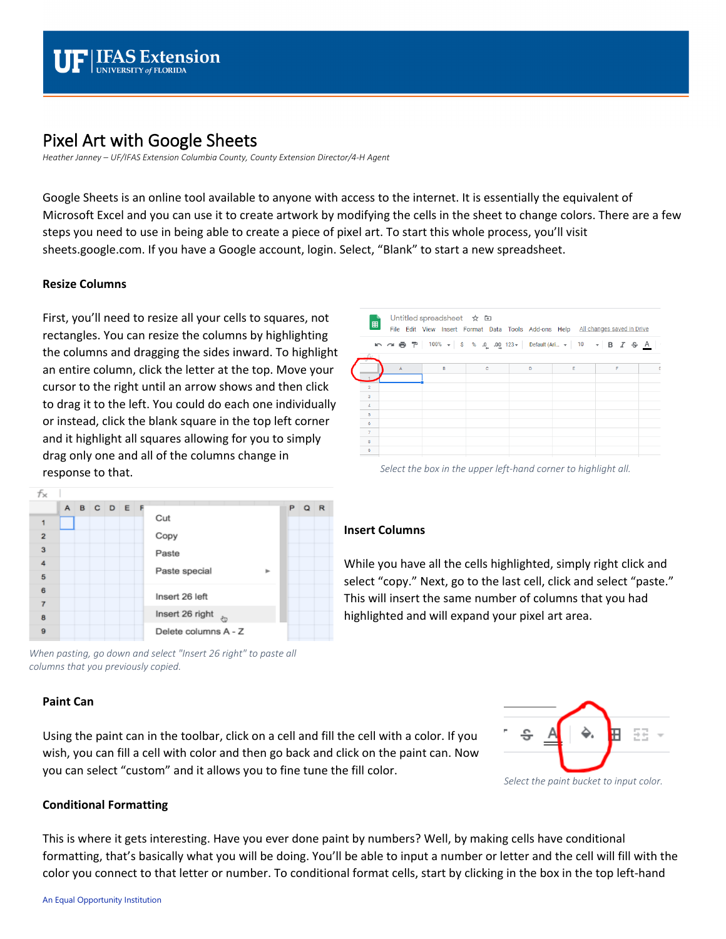

# Pixel Art with Google Sheets

*Heather Janney – UF/IFAS Extension Columbia County, County Extension Director/4-H Agent*

Google Sheets is an online tool available to anyone with access to the internet. It is essentially the equivalent of Microsoft Excel and you can use it to create artwork by modifying the cells in the sheet to change colors. There are a few steps you need to use in being able to create a piece of pixel art. To start this whole process, you'll visit sheets.google.com. If you have a Google account, login. Select, "Blank" to start a new spreadsheet.

### **Resize Columns**

First, you'll need to resize all your cells to squares, not rectangles. You can resize the columns by highlighting the columns and dragging the sides inward. To highlight an entire column, click the letter at the top. Move your cursor to the right until an arrow shows and then click to drag it to the left. You could do each one individually or instead, click the blank square in the top left corner and it highlight all squares allowing for you to simply drag only one and all of the columns change in response to that.



*Select the box in the upper left-hand corner to highlight all.*



*When pasting, go down and select "Insert 26 right" to paste all columns that you previously copied.*

### **Paint Can**

Using the paint can in the toolbar, click on a cell and fill the cell with a color. If you wish, you can fill a cell with color and then go back and click on the paint can. Now you can select "custom" and it allows you to fine tune the fill color.



#### **Conditional Formatting**

This is where it gets interesting. Have you ever done paint by numbers? Well, by making cells have conditional formatting, that's basically what you will be doing. You'll be able to input a number or letter and the cell will fill with the color you connect to that letter or number. To conditional format cells, start by clicking in the box in the top left-hand